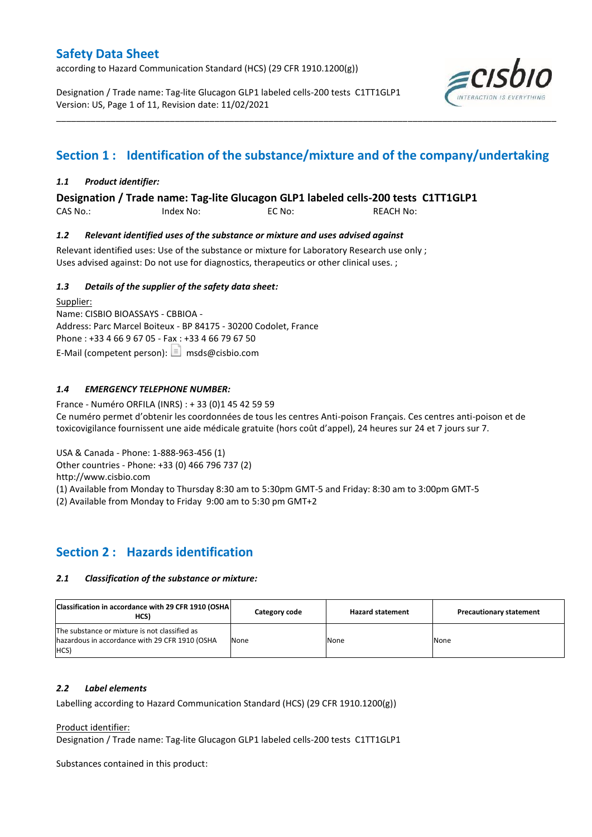according to Hazard Communication Standard (HCS) (29 CFR 1910.1200(g))

Designation / Trade name: Tag-lite Glucagon GLP1 labeled cells-200 tests C1TT1GLP1 Version: US, Page 1 of 11, Revision date: 11/02/2021



## **Section 1 : Identification of the substance/mixture and of the company/undertaking**

\_\_\_\_\_\_\_\_\_\_\_\_\_\_\_\_\_\_\_\_\_\_\_\_\_\_\_\_\_\_\_\_\_\_\_\_\_\_\_\_\_\_\_\_\_\_\_\_\_\_\_\_\_\_\_\_\_\_\_\_\_\_\_\_\_\_\_\_\_\_\_\_\_\_\_\_\_\_\_\_\_\_\_\_\_\_\_\_\_\_\_\_\_\_\_\_\_\_\_\_\_

### *1.1 Product identifier:*

**Designation / Trade name: Tag-lite Glucagon GLP1 labeled cells-200 tests C1TT1GLP1** 

CAS No.: Index No: EC No: REACH No:

### *1.2 Relevant identified uses of the substance or mixture and uses advised against*

Relevant identified uses: Use of the substance or mixture for Laboratory Research use only ; Uses advised against: Do not use for diagnostics, therapeutics or other clinical uses. ;

### *1.3 Details of the supplier of the safety data sheet:*

Supplier: Name: CISBIO BIOASSAYS - CBBIOA - Address: Parc Marcel Boiteux - BP 84175 - 30200 Codolet, France Phone : +33 4 66 9 67 05 - Fax : +33 4 66 79 67 50 E-Mail (competent person):  $\boxed{\equiv}$  msds@cisbio.com

### *1.4 EMERGENCY TELEPHONE NUMBER:*

France - Numéro ORFILA (INRS) : + 33 (0)1 45 42 59 59 Ce numéro permet d'obtenir les coordonnées de tous les centres Anti-poison Français. Ces centres anti-poison et de toxicovigilance fournissent une aide médicale gratuite (hors coût d'appel), 24 heures sur 24 et 7 jours sur 7.

USA & Canada - Phone: 1-888-963-456 (1)

Other countries - Phone: +33 (0) 466 796 737 (2)

http://www.cisbio.com

(1) Available from Monday to Thursday 8:30 am to 5:30pm GMT-5 and Friday: 8:30 am to 3:00pm GMT-5

(2) Available from Monday to Friday 9:00 am to 5:30 pm GMT+2

## **Section 2 : Hazards identification**

### *2.1 Classification of the substance or mixture:*

| Classification in accordance with 29 CFR 1910 (OSHA<br>HCS)                                             | Category code | <b>Hazard statement</b> | <b>Precautionary statement</b> |
|---------------------------------------------------------------------------------------------------------|---------------|-------------------------|--------------------------------|
| The substance or mixture is not classified as<br>hazardous in accordance with 29 CFR 1910 (OSHA<br>HCS) | None          | None                    | None                           |

### *2.2 Label elements*

Labelling according to Hazard Communication Standard (HCS) (29 CFR 1910.1200(g))

### Product identifier:

Designation / Trade name: Tag-lite Glucagon GLP1 labeled cells-200 tests C1TT1GLP1

Substances contained in this product: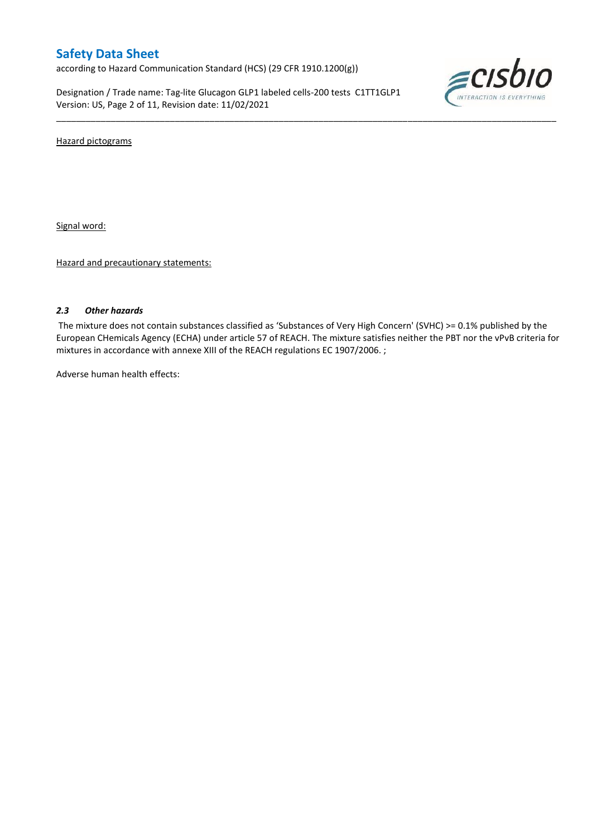according to Hazard Communication Standard (HCS) (29 CFR 1910.1200(g))

Designation / Trade name: Tag-lite Glucagon GLP1 labeled cells-200 tests C1TT1GLP1 Version: US, Page 2 of 11, Revision date: 11/02/2021



Hazard pictograms

Signal word:

Hazard and precautionary statements:

### *2.3 Other hazards*

The mixture does not contain substances classified as 'Substances of Very High Concern' (SVHC) >= 0.1% published by the European CHemicals Agency (ECHA) under article 57 of REACH. The mixture satisfies neither the PBT nor the vPvB criteria for mixtures in accordance with annexe XIII of the REACH regulations EC 1907/2006. ;

\_\_\_\_\_\_\_\_\_\_\_\_\_\_\_\_\_\_\_\_\_\_\_\_\_\_\_\_\_\_\_\_\_\_\_\_\_\_\_\_\_\_\_\_\_\_\_\_\_\_\_\_\_\_\_\_\_\_\_\_\_\_\_\_\_\_\_\_\_\_\_\_\_\_\_\_\_\_\_\_\_\_\_\_\_\_\_\_\_\_\_\_\_\_\_\_\_\_\_\_\_

Adverse human health effects: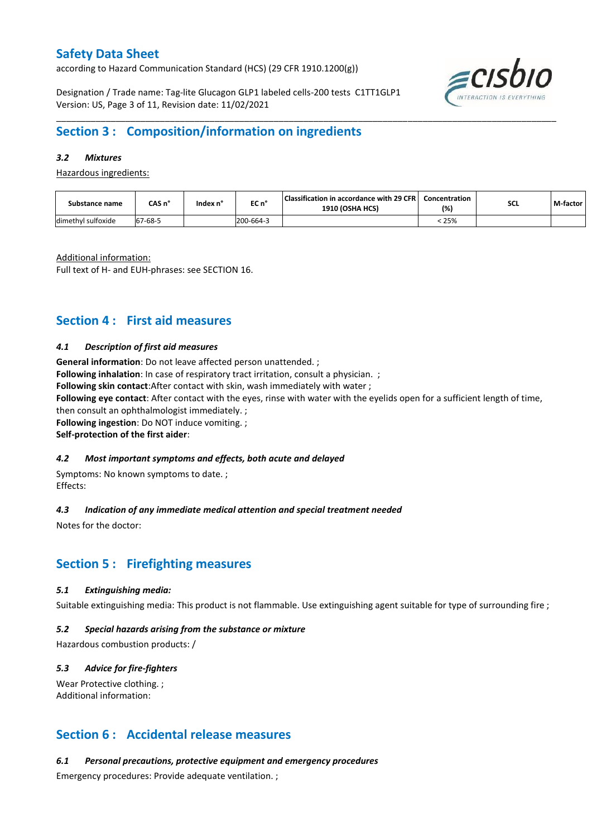according to Hazard Communication Standard (HCS) (29 CFR 1910.1200(g))

Designation / Trade name: Tag-lite Glucagon GLP1 labeled cells-200 tests C1TT1GLP1 Version: US, Page 3 of 11, Revision date: 11/02/2021



## **Section 3 : Composition/information on ingredients**

### *3.2 Mixtures*

Hazardous ingredients:

| Substance name     | CAS n°       | Index n' | EC n°     | Classification in accordance with 29 CFR  <br><b>1910 (OSHA HCS)</b> | Concentration<br>(%) | SCL | M-factor |
|--------------------|--------------|----------|-----------|----------------------------------------------------------------------|----------------------|-----|----------|
| dimethyl sulfoxide | $7 - 68 - 5$ |          | 200-664-3 |                                                                      | 25%                  |     |          |

\_\_\_\_\_\_\_\_\_\_\_\_\_\_\_\_\_\_\_\_\_\_\_\_\_\_\_\_\_\_\_\_\_\_\_\_\_\_\_\_\_\_\_\_\_\_\_\_\_\_\_\_\_\_\_\_\_\_\_\_\_\_\_\_\_\_\_\_\_\_\_\_\_\_\_\_\_\_\_\_\_\_\_\_\_\_\_\_\_\_\_\_\_\_\_\_\_\_\_\_\_

Additional information:

Full text of H- and EUH-phrases: see SECTION 16.

### **Section 4 : First aid measures**

### *4.1 Description of first aid measures*

**General information**: Do not leave affected person unattended. ; **Following inhalation**: In case of respiratory tract irritation, consult a physician. ; **Following skin contact**:After contact with skin, wash immediately with water ; **Following eye contact**: After contact with the eyes, rinse with water with the eyelids open for a sufficient length of time, then consult an ophthalmologist immediately. ; **Following ingestion**: Do NOT induce vomiting. ;

**Self-protection of the first aider**:

### *4.2 Most important symptoms and effects, both acute and delayed*

Symptoms: No known symptoms to date. ; Effects:

### *4.3 Indication of any immediate medical attention and special treatment needed*

Notes for the doctor:

### **Section 5 : Firefighting measures**

### *5.1 Extinguishing media:*

Suitable extinguishing media: This product is not flammable. Use extinguishing agent suitable for type of surrounding fire ;

### *5.2 Special hazards arising from the substance or mixture*

Hazardous combustion products: /

### *5.3 Advice for fire-fighters*

Wear Protective clothing. ; Additional information:

### **Section 6 : Accidental release measures**

*6.1 Personal precautions, protective equipment and emergency procedures*

Emergency procedures: Provide adequate ventilation. ;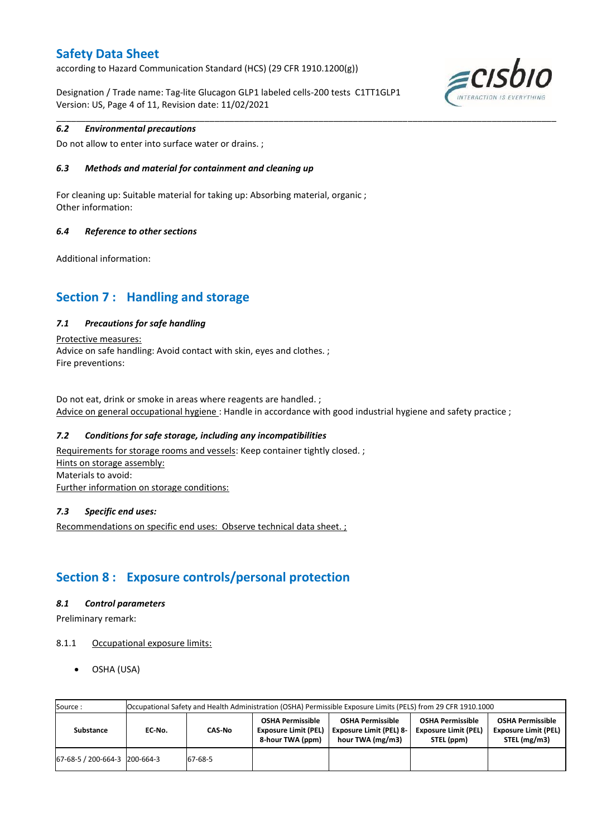according to Hazard Communication Standard (HCS) (29 CFR 1910.1200(g))

Designation / Trade name: Tag-lite Glucagon GLP1 labeled cells-200 tests C1TT1GLP1 Version: US, Page 4 of 11, Revision date: 11/02/2021



### *6.2 Environmental precautions*

Do not allow to enter into surface water or drains. ;

### *6.3 Methods and material for containment and cleaning up*

For cleaning up: Suitable material for taking up: Absorbing material, organic ; Other information:

### *6.4 Reference to other sections*

Additional information:

## **Section 7 : Handling and storage**

### *7.1 Precautions for safe handling*

Protective measures: Advice on safe handling: Avoid contact with skin, eyes and clothes. ; Fire preventions:

Do not eat, drink or smoke in areas where reagents are handled. ; Advice on general occupational hygiene : Handle in accordance with good industrial hygiene and safety practice ;

\_\_\_\_\_\_\_\_\_\_\_\_\_\_\_\_\_\_\_\_\_\_\_\_\_\_\_\_\_\_\_\_\_\_\_\_\_\_\_\_\_\_\_\_\_\_\_\_\_\_\_\_\_\_\_\_\_\_\_\_\_\_\_\_\_\_\_\_\_\_\_\_\_\_\_\_\_\_\_\_\_\_\_\_\_\_\_\_\_\_\_\_\_\_\_\_\_\_\_\_\_

### *7.2 Conditions for safe storage, including any incompatibilities*

Requirements for storage rooms and vessels: Keep container tightly closed. ; Hints on storage assembly: Materials to avoid: Further information on storage conditions:

### *7.3 Specific end uses:*

Recommendations on specific end uses: Observe technical data sheet. ;

## **Section 8 : Exposure controls/personal protection**

### *8.1 Control parameters*

Preliminary remark:

- 8.1.1 Occupational exposure limits:
	- OSHA (USA)

| Source:                       | Occupational Safety and Health Administration (OSHA) Permissible Exposure Limits (PELS) from 29 CFR 1910.1000 |         |                                                                            |                                                                               |                                                                      |                                                                        |  |  |  |
|-------------------------------|---------------------------------------------------------------------------------------------------------------|---------|----------------------------------------------------------------------------|-------------------------------------------------------------------------------|----------------------------------------------------------------------|------------------------------------------------------------------------|--|--|--|
| Substance                     | EC No.                                                                                                        | CAS-No  | <b>OSHA Permissible</b><br><b>Exposure Limit (PEL)</b><br>8-hour TWA (ppm) | <b>OSHA Permissible</b><br><b>Exposure Limit (PEL) 8-</b><br>hour TWA (mg/m3) | <b>OSHA Permissible</b><br><b>Exposure Limit (PEL)</b><br>STEL (ppm) | <b>OSHA Permissible</b><br><b>Exposure Limit (PEL)</b><br>STEL (mg/m3) |  |  |  |
| 67-68-5 / 200-664-3 200-664-3 |                                                                                                               | 67-68-5 |                                                                            |                                                                               |                                                                      |                                                                        |  |  |  |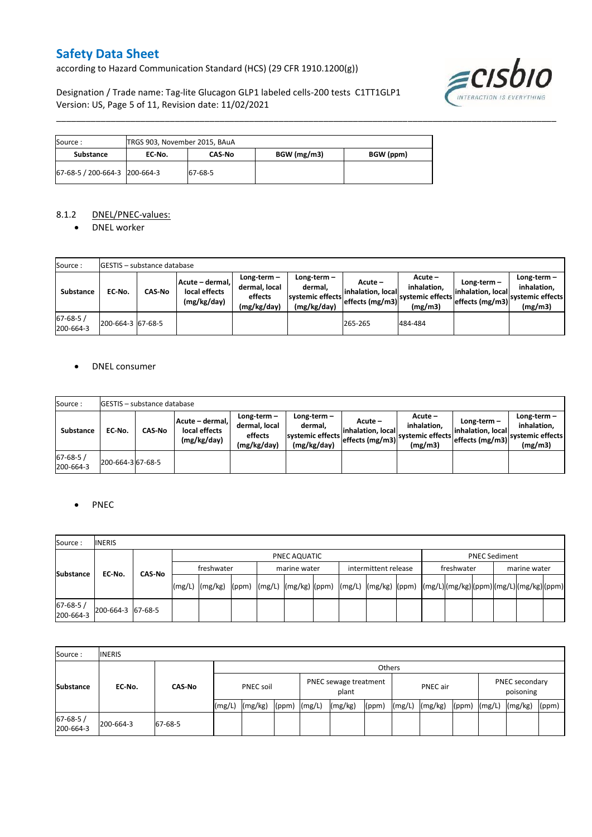according to Hazard Communication Standard (HCS) (29 CFR 1910.1200(g))

Designation / Trade name: Tag-lite Glucagon GLP1 labeled cells-200 tests C1TT1GLP1 Version: US, Page 5 of 11, Revision date: 11/02/2021



| Source :                      | TRGS 903, November 2015, BAuA |         |             |           |  |  |  |  |  |
|-------------------------------|-------------------------------|---------|-------------|-----------|--|--|--|--|--|
| Substance                     | EC No.                        | CAS No  | BGW (mg/m3) | BGW (ppm) |  |  |  |  |  |
| 67-68-5 / 200-664-3 200-664-3 |                               | 67-68-5 |             |           |  |  |  |  |  |

### 8.1.2 DNEL/PNEC-values:

• DNEL worker

| Source:                     |                   | <b>IGESTIS - substance database</b> |                                                 |                                                       |                                                           |                                                  |                                                         |                                                        |                                                             |  |  |
|-----------------------------|-------------------|-------------------------------------|-------------------------------------------------|-------------------------------------------------------|-----------------------------------------------------------|--------------------------------------------------|---------------------------------------------------------|--------------------------------------------------------|-------------------------------------------------------------|--|--|
| Substance                   | EC-No.            | <b>CAS-No</b>                       | Acute - dermal,<br>local effects<br>(mg/kg/day) | Long-term-<br>dermal, local<br>effects<br>(mg/kg/day) | Long-term –<br>dermal.<br>systemic effects<br>(mg/kg/day) | Acute –<br>linhalation. local<br>effects (mg/m3) | $Acute -$<br>inhalation.<br>systemic effects<br>(mg/m3) | $Long-term -$<br>linhalation. local<br>effects (mg/m3) | $Long-term -$<br>inhalation.<br>systemic effects<br>(mg/m3) |  |  |
| $67 - 68 - 5/$<br>200-664-3 | 200-664-3 67-68-5 |                                     |                                                 |                                                       |                                                           | 265-265                                          | 484-484                                                 |                                                        |                                                             |  |  |

\_\_\_\_\_\_\_\_\_\_\_\_\_\_\_\_\_\_\_\_\_\_\_\_\_\_\_\_\_\_\_\_\_\_\_\_\_\_\_\_\_\_\_\_\_\_\_\_\_\_\_\_\_\_\_\_\_\_\_\_\_\_\_\_\_\_\_\_\_\_\_\_\_\_\_\_\_\_\_\_\_\_\_\_\_\_\_\_\_\_\_\_\_\_\_\_\_\_\_\_\_

### DNEL consumer

| Source:                     |                   | <b>IGESTIS - substance database</b> |                                                 |                                                       |                                                             |                                                  |                                                       |                                                      |                                                             |  |  |
|-----------------------------|-------------------|-------------------------------------|-------------------------------------------------|-------------------------------------------------------|-------------------------------------------------------------|--------------------------------------------------|-------------------------------------------------------|------------------------------------------------------|-------------------------------------------------------------|--|--|
| <b>Substance</b>            | EC No.            | <b>CAS No</b>                       | Acute - dermal.<br>local effects<br>(mg/kg/day) | Long-term-<br>dermal, local<br>effects<br>(mg/kg/day) | Long-term $-$<br>dermal.<br>systemic effects<br>(mg/kg/day) | Acute –<br>linhalation. local<br>effects (mg/m3) | Acute -<br>inhalation.<br>systemic effects<br>(mg/m3) | Long-term –<br>linhalation. local<br>effects (mg/m3) | $Long-term -$<br>inhalation.<br>systemic effects<br>(mg/m3) |  |  |
| $67 - 68 - 5/$<br>200-664-3 | 200-664-3 67-68-5 |                                     |                                                 |                                                       |                                                             |                                                  |                                                       |                                                      |                                                             |  |  |

### PNEC

| Source:               | <b>INERIS</b>     |            |                                                                                                             |  |  |              |  |                      |  |            |                      |              |  |  |  |  |  |
|-----------------------|-------------------|------------|-------------------------------------------------------------------------------------------------------------|--|--|--------------|--|----------------------|--|------------|----------------------|--------------|--|--|--|--|--|
| <b>Substance</b>      |                   |            | PNEC AQUATIC                                                                                                |  |  |              |  |                      |  |            | <b>PNEC Sediment</b> |              |  |  |  |  |  |
|                       |                   | freshwater |                                                                                                             |  |  | marine water |  | intermittent release |  | freshwater |                      | marine water |  |  |  |  |  |
|                       | EC-No.<br>CAS-No  |            | (mg/L) (mg/kg) ((ppm) (mg/L) (mg/kg) (ppm) ((mg/L) ((mg/kg) ((ppm) ((mg/L))(mg/kg)((ppm)(mg/L)(mg/kg)((ppm) |  |  |              |  |                      |  |            |                      |              |  |  |  |  |  |
| 67-68-5/<br>200-664-3 | 200-664-3 67-68-5 |            |                                                                                                             |  |  |              |  |                      |  |            |                      |              |  |  |  |  |  |

| Source:                     | <b>INERIS</b> |               |                  |         |                                |  |                 |       |        |                             |       |        |         |       |
|-----------------------------|---------------|---------------|------------------|---------|--------------------------------|--|-----------------|-------|--------|-----------------------------|-------|--------|---------|-------|
| <b>Substance</b>            | EC-No.        | <b>CAS-No</b> |                  | Others  |                                |  |                 |       |        |                             |       |        |         |       |
|                             |               |               | <b>PNEC soil</b> |         | PNEC sewage treatment<br>plant |  | <b>PNEC</b> air |       |        | PNEC secondary<br>poisoning |       |        |         |       |
|                             |               |               | (mg/L)           | (mg/kg) | $(ppm)$ $(mg/L)$               |  | (mg/kg)         | (ppm) | (mg/L) | (mg/kg)                     | (ppm) | (mg/L) | (mg/kg) | (ppm) |
| $67 - 68 - 5/$<br>200-664-3 | 200-664-3     | 67-68-5       |                  |         |                                |  |                 |       |        |                             |       |        |         |       |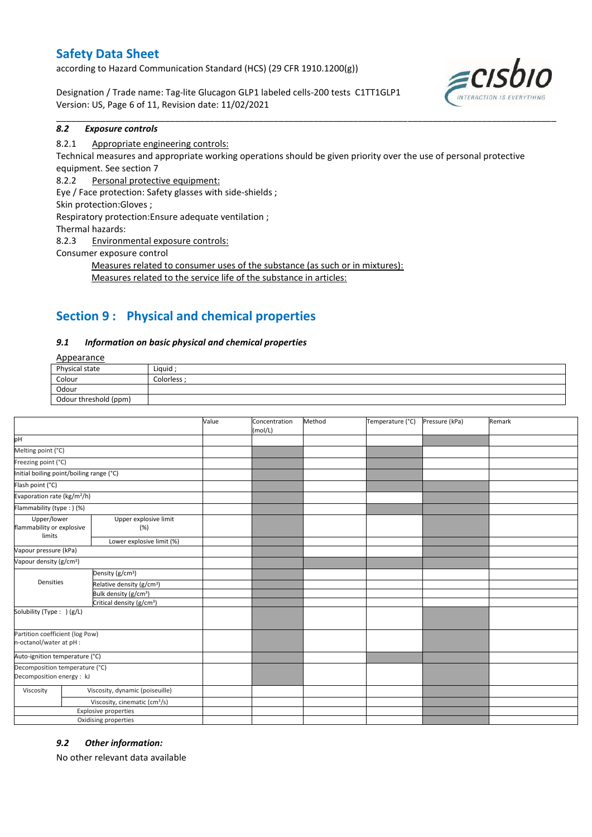according to Hazard Communication Standard (HCS) (29 CFR 1910.1200(g))

Designation / Trade name: Tag-lite Glucagon GLP1 labeled cells-200 tests C1TT1GLP1 Version: US, Page 6 of 11, Revision date: 11/02/2021



#### \_\_\_\_\_\_\_\_\_\_\_\_\_\_\_\_\_\_\_\_\_\_\_\_\_\_\_\_\_\_\_\_\_\_\_\_\_\_\_\_\_\_\_\_\_\_\_\_\_\_\_\_\_\_\_\_\_\_\_\_\_\_\_\_\_\_\_\_\_\_\_\_\_\_\_\_\_\_\_\_\_\_\_\_\_\_\_\_\_\_\_\_\_\_\_\_\_\_\_\_\_ *8.2 Exposure controls*

### 8.2.1 Appropriate engineering controls:

Technical measures and appropriate working operations should be given priority over the use of personal protective equipment. See section 7

8.2.2 Personal protective equipment:

Eye / Face protection: Safety glasses with side-shields ;

Skin protection:Gloves ;

Respiratory protection:Ensure adequate ventilation ;

Thermal hazards:

8.2.3 Environmental exposure controls:

Consumer exposure control

Measures related to consumer uses of the substance (as such or in mixtures): Measures related to the service life of the substance in articles:

## **Section 9 : Physical and chemical properties**

### *9.1 Information on basic physical and chemical properties*

**Annearance** 

| $-100$                |           |
|-----------------------|-----------|
| Physical state        | Liquid    |
| Colour                | Colorless |
| Odour                 |           |
| Odour threshold (ppm) |           |

|                                                             |                                           | Value | Concentration<br>(mol/L) | Method | Temperature (°C) | Pressure (kPa) | Remark |
|-------------------------------------------------------------|-------------------------------------------|-------|--------------------------|--------|------------------|----------------|--------|
| pH                                                          |                                           |       |                          |        |                  |                |        |
| Melting point (°C)                                          |                                           |       |                          |        |                  |                |        |
| Freezing point (°C)                                         |                                           |       |                          |        |                  |                |        |
| Initial boiling point/boiling range (°C)                    |                                           |       |                          |        |                  |                |        |
| Flash point (°C)                                            |                                           |       |                          |        |                  |                |        |
| Evaporation rate (kg/m <sup>2</sup> /h)                     |                                           |       |                          |        |                  |                |        |
| Flammability (type : ) (%)                                  |                                           |       |                          |        |                  |                |        |
| Upper/lower<br>flammability or explosive<br>limits          | Upper explosive limit<br>(%)              |       |                          |        |                  |                |        |
|                                                             | Lower explosive limit (%)                 |       |                          |        |                  |                |        |
| Vapour pressure (kPa)                                       |                                           |       |                          |        |                  |                |        |
| Vapour density (g/cm <sup>3</sup> )                         |                                           |       |                          |        |                  |                |        |
|                                                             | Density (g/cm <sup>3</sup> )              |       |                          |        |                  |                |        |
| Densities                                                   | Relative density (g/cm <sup>3</sup> )     |       |                          |        |                  |                |        |
|                                                             | Bulk density (g/cm <sup>3</sup> )         |       |                          |        |                  |                |        |
|                                                             | Critical density (g/cm <sup>3</sup> )     |       |                          |        |                  |                |        |
| Solubility (Type: ) (g/L)                                   |                                           |       |                          |        |                  |                |        |
| Partition coefficient (log Pow)<br>n-octanol/water at pH :  |                                           |       |                          |        |                  |                |        |
| Auto-ignition temperature (°C)                              |                                           |       |                          |        |                  |                |        |
| Decomposition temperature (°C)<br>Decomposition energy : kJ |                                           |       |                          |        |                  |                |        |
| Viscosity                                                   | Viscosity, dynamic (poiseuille)           |       |                          |        |                  |                |        |
|                                                             | Viscosity, cinematic (cm <sup>3</sup> /s) |       |                          |        |                  |                |        |
|                                                             | <b>Explosive properties</b>               |       |                          |        |                  |                |        |
|                                                             | Oxidising properties                      |       |                          |        |                  |                |        |

### *9.2 Other information:*

No other relevant data available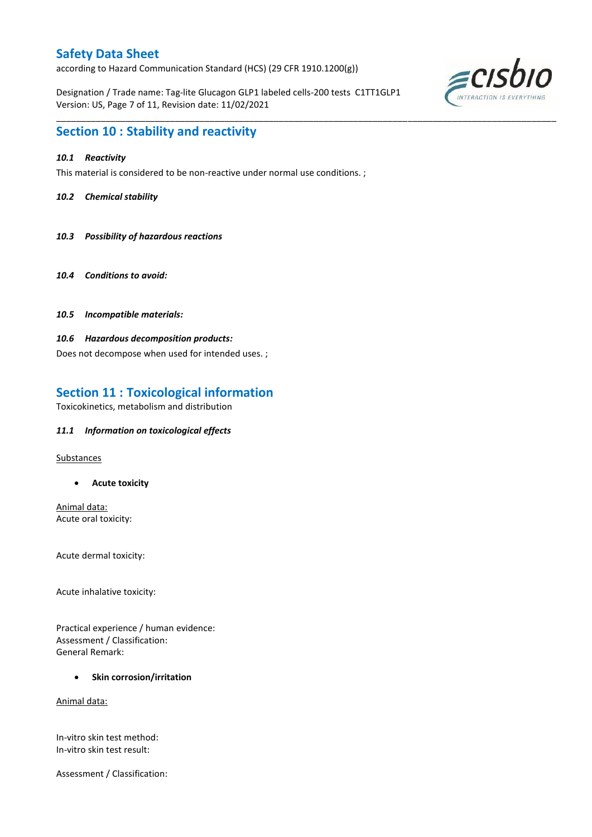according to Hazard Communication Standard (HCS) (29 CFR 1910.1200(g))

Designation / Trade name: Tag-lite Glucagon GLP1 labeled cells-200 tests C1TT1GLP1 Version: US, Page 7 of 11, Revision date: 11/02/2021

\_\_\_\_\_\_\_\_\_\_\_\_\_\_\_\_\_\_\_\_\_\_\_\_\_\_\_\_\_\_\_\_\_\_\_\_\_\_\_\_\_\_\_\_\_\_\_\_\_\_\_\_\_\_\_\_\_\_\_\_\_\_\_\_\_\_\_\_\_\_\_\_\_\_\_\_\_\_\_\_\_\_\_\_\_\_\_\_\_\_\_\_\_\_\_\_\_\_\_\_\_



### **Section 10 : Stability and reactivity**

### *10.1 Reactivity*

This material is considered to be non-reactive under normal use conditions. ;

### *10.2 Chemical stability*

- *10.3 Possibility of hazardous reactions*
- *10.4 Conditions to avoid:*
- *10.5 Incompatible materials:*

### *10.6 Hazardous decomposition products:*

Does not decompose when used for intended uses. ;

## **Section 11 : Toxicological information**

Toxicokinetics, metabolism and distribution

### *11.1 Information on toxicological effects*

Substances

**Acute toxicity**

Animal data: Acute oral toxicity:

Acute dermal toxicity:

Acute inhalative toxicity:

Practical experience / human evidence: Assessment / Classification: General Remark:

### **•** Skin corrosion/irritation

Animal data:

In-vitro skin test method: In-vitro skin test result:

Assessment / Classification: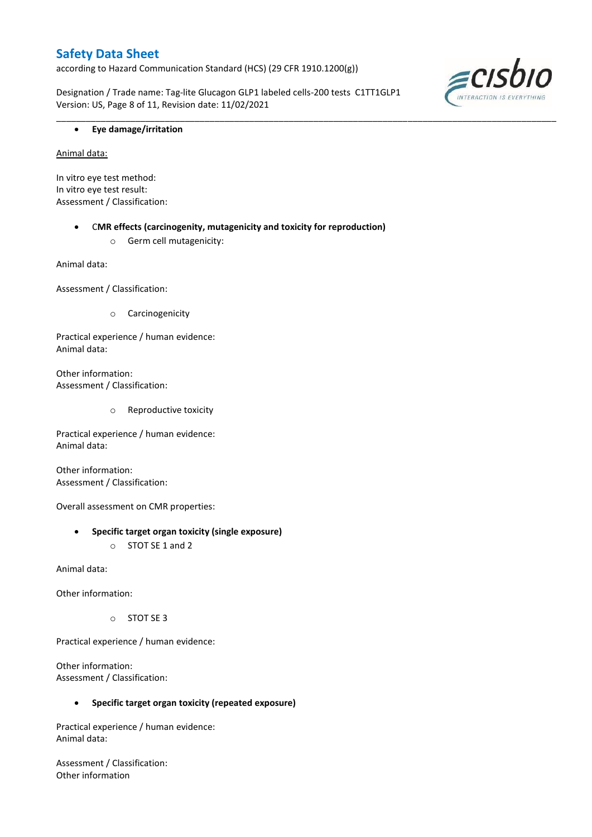according to Hazard Communication Standard (HCS) (29 CFR 1910.1200(g))

Designation / Trade name: Tag-lite Glucagon GLP1 labeled cells-200 tests C1TT1GLP1 Version: US, Page 8 of 11, Revision date: 11/02/2021

\_\_\_\_\_\_\_\_\_\_\_\_\_\_\_\_\_\_\_\_\_\_\_\_\_\_\_\_\_\_\_\_\_\_\_\_\_\_\_\_\_\_\_\_\_\_\_\_\_\_\_\_\_\_\_\_\_\_\_\_\_\_\_\_\_\_\_\_\_\_\_\_\_\_\_\_\_\_\_\_\_\_\_\_\_\_\_\_\_\_\_\_\_\_\_\_\_\_\_\_\_



### **Eye damage/irritation**

Animal data:

In vitro eye test method: In vitro eye test result: Assessment / Classification:

> C**MR effects (carcinogenity, mutagenicity and toxicity for reproduction)** o Germ cell mutagenicity:

Animal data:

Assessment / Classification:

o Carcinogenicity

Practical experience / human evidence: Animal data:

Other information: Assessment / Classification:

o Reproductive toxicity

Practical experience / human evidence: Animal data:

Other information: Assessment / Classification:

Overall assessment on CMR properties:

### **Specific target organ toxicity (single exposure)**

o STOT SE 1 and 2

Animal data:

Other information:

o STOT SE 3

Practical experience / human evidence:

Other information: Assessment / Classification:

### **Specific target organ toxicity (repeated exposure)**

Practical experience / human evidence: Animal data:

Assessment / Classification: Other information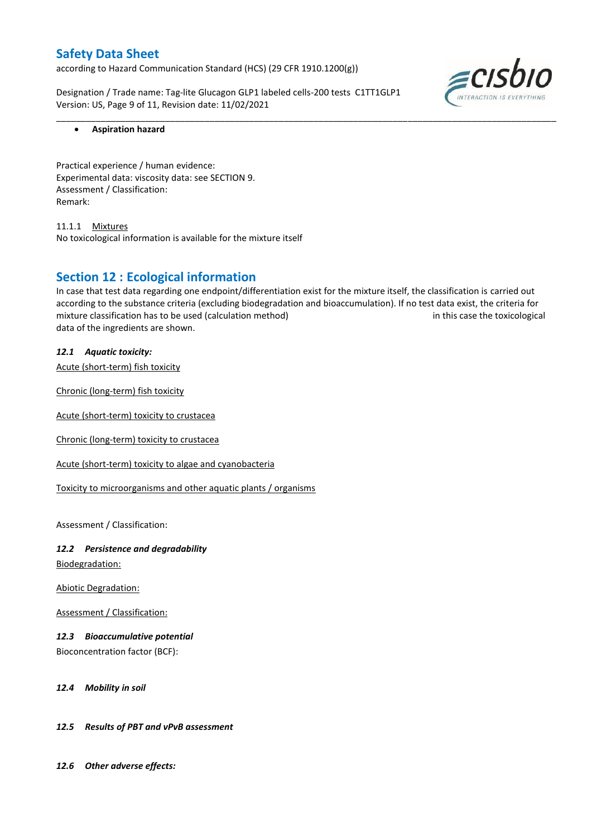according to Hazard Communication Standard (HCS) (29 CFR 1910.1200(g))

Designation / Trade name: Tag-lite Glucagon GLP1 labeled cells-200 tests C1TT1GLP1 Version: US, Page 9 of 11, Revision date: 11/02/2021



### **Aspiration hazard**

Practical experience / human evidence: Experimental data: viscosity data: see SECTION 9. Assessment / Classification: Remark:

11.1.1 Mixtures No toxicological information is available for the mixture itself

### **Section 12 : Ecological information**

In case that test data regarding one endpoint/differentiation exist for the mixture itself, the classification is carried out according to the substance criteria (excluding biodegradation and bioaccumulation). If no test data exist, the criteria for mixture classification has to be used (calculation method) in this case the toxicological data of the ingredients are shown.

\_\_\_\_\_\_\_\_\_\_\_\_\_\_\_\_\_\_\_\_\_\_\_\_\_\_\_\_\_\_\_\_\_\_\_\_\_\_\_\_\_\_\_\_\_\_\_\_\_\_\_\_\_\_\_\_\_\_\_\_\_\_\_\_\_\_\_\_\_\_\_\_\_\_\_\_\_\_\_\_\_\_\_\_\_\_\_\_\_\_\_\_\_\_\_\_\_\_\_\_\_

*12.1 Aquatic toxicity:* 

Acute (short-term) fish toxicity

Chronic (long-term) fish toxicity

Acute (short-term) toxicity to crustacea

Chronic (long-term) toxicity to crustacea

Acute (short-term) toxicity to algae and cyanobacteria

Toxicity to microorganisms and other aquatic plants / organisms

Assessment / Classification:

# *12.2 Persistence and degradability*

Biodegradation:

Abiotic Degradation:

Assessment / Classification:

### *12.3 Bioaccumulative potential*

Bioconcentration factor (BCF):

### *12.4 Mobility in soil*

### *12.5 Results of PBT and vPvB assessment*

*12.6 Other adverse effects:*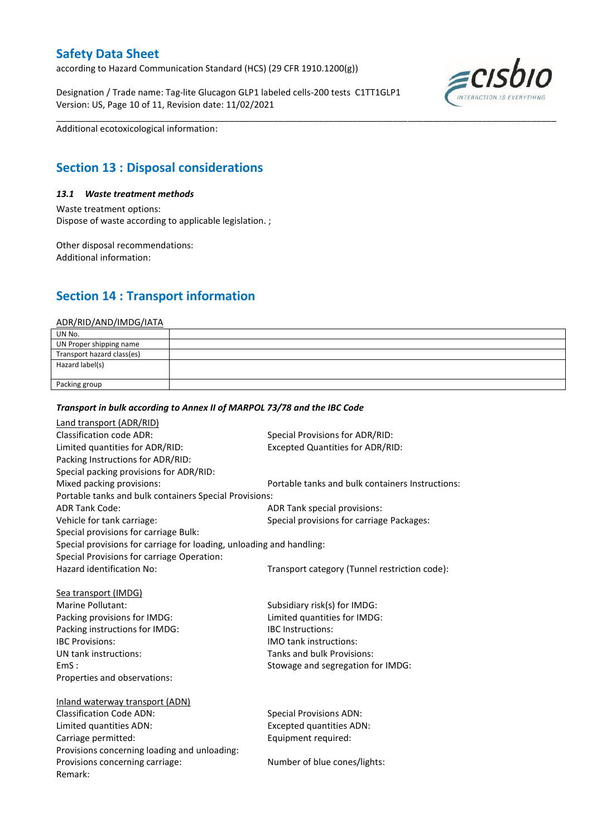according to Hazard Communication Standard (HCS) (29 CFR 1910.1200(g))

Designation / Trade name: Tag-lite Glucagon GLP1 labeled cells-200 tests C1TT1GLP1 Version: US, Page 10 of 11, Revision date: 11/02/2021



Additional ecotoxicological information:

## **Section 13 : Disposal considerations**

#### *13.1 Waste treatment methods*

Waste treatment options: Dispose of waste according to applicable legislation. ;

Other disposal recommendations: Additional information:

## **Section 14 : Transport information**

#### ADR/RID/AND/IMDG/IATA

| UN No.                     |  |
|----------------------------|--|
| UN Proper shipping name    |  |
| Transport hazard class(es) |  |
| Hazard label(s)            |  |
|                            |  |
| Packing group              |  |

\_\_\_\_\_\_\_\_\_\_\_\_\_\_\_\_\_\_\_\_\_\_\_\_\_\_\_\_\_\_\_\_\_\_\_\_\_\_\_\_\_\_\_\_\_\_\_\_\_\_\_\_\_\_\_\_\_\_\_\_\_\_\_\_\_\_\_\_\_\_\_\_\_\_\_\_\_\_\_\_\_\_\_\_\_\_\_\_\_\_\_\_\_\_\_\_\_\_\_\_\_

### *Transport in bulk according to Annex II of MARPOL 73/78 and the IBC Code*

| Land transport (ADR/RID)                                             |                                                  |
|----------------------------------------------------------------------|--------------------------------------------------|
| <b>Classification code ADR:</b>                                      | Special Provisions for ADR/RID:                  |
| Limited quantities for ADR/RID:                                      | <b>Excepted Quantities for ADR/RID:</b>          |
| Packing Instructions for ADR/RID:                                    |                                                  |
| Special packing provisions for ADR/RID:                              |                                                  |
| Mixed packing provisions:                                            | Portable tanks and bulk containers Instructions: |
| Portable tanks and bulk containers Special Provisions:               |                                                  |
| <b>ADR Tank Code:</b>                                                | ADR Tank special provisions:                     |
| Vehicle for tank carriage:                                           | Special provisions for carriage Packages:        |
| Special provisions for carriage Bulk:                                |                                                  |
| Special provisions for carriage for loading, unloading and handling: |                                                  |
| Special Provisions for carriage Operation:                           |                                                  |
| Hazard identification No:                                            | Transport category (Tunnel restriction code):    |
|                                                                      |                                                  |
| Sea transport (IMDG)                                                 |                                                  |
| Marine Pollutant:                                                    | Subsidiary risk(s) for IMDG:                     |
| Packing provisions for IMDG:                                         | Limited quantities for IMDG:                     |
| Packing instructions for IMDG:                                       | <b>IBC</b> Instructions:                         |
| <b>IBC Provisions:</b>                                               | IMO tank instructions:                           |
| UN tank instructions:                                                | Tanks and bulk Provisions:                       |
| EmS:                                                                 | Stowage and segregation for IMDG:                |
| Properties and observations:                                         |                                                  |
|                                                                      |                                                  |
| Inland waterway transport (ADN)                                      |                                                  |
| <b>Classification Code ADN:</b>                                      | <b>Special Provisions ADN:</b>                   |
| Limited quantities ADN:                                              | <b>Excepted quantities ADN:</b>                  |
| Carriage permitted:                                                  | Equipment required:                              |
| Provisions concerning loading and unloading:                         |                                                  |
| Provisions concerning carriage:                                      | Number of blue cones/lights:                     |
| Remark:                                                              |                                                  |
|                                                                      |                                                  |